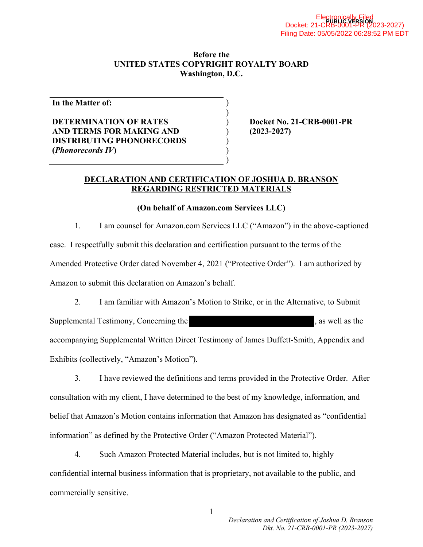#### **Before the UNITED STATES COPYRIGHT ROYALTY BOARD Washington, D.C.**

) )

> ) ) )

**In the Matter of:** 

## **DETERMINATION OF RATES AND TERMS FOR MAKING AND DISTRIBUTING PHONORECORDS (***Phonorecords IV***)**

) **Docket No. 21-CRB-0001-PR**  ) **(2023-2027)** 

### **DECLARATION AND CERTIFICATION OF JOSHUA D. BRANSON REGARDING RESTRICTED MATERIALS**

### **(On behalf of Amazon.com Services LLC)**

1. I am counsel for Amazon.com Services LLC ("Amazon") in the above-captioned case. I respectfully submit this declaration and certification pursuant to the terms of the Amended Protective Order dated November 4, 2021 ("Protective Order"). I am authorized by Amazon to submit this declaration on Amazon's behalf.

2. I am familiar with Amazon's Motion to Strike, or in the Alternative, to Submit Supplemental Testimony, Concerning the , as well as the , as well as the accompanying Supplemental Written Direct Testimony of James Duffett-Smith, Appendix and Exhibits (collectively, "Amazon's Motion").

3. I have reviewed the definitions and terms provided in the Protective Order. After consultation with my client, I have determined to the best of my knowledge, information, and belief that Amazon's Motion contains information that Amazon has designated as "confidential information" as defined by the Protective Order ("Amazon Protected Material").

4. Such Amazon Protected Material includes, but is not limited to, highly confidential internal business information that is proprietary, not available to the public, and commercially sensitive.

1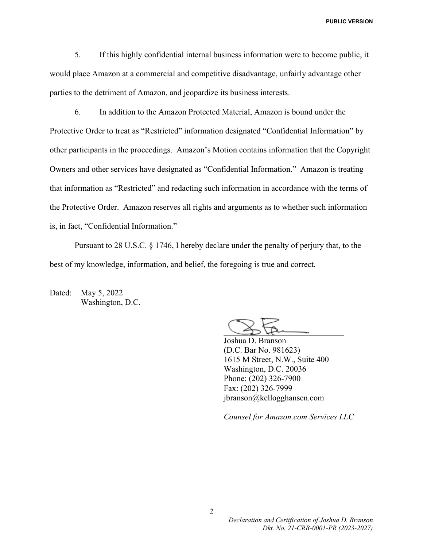**PUBLIC VERSION**

5. If this highly confidential internal business information were to become public, it would place Amazon at a commercial and competitive disadvantage, unfairly advantage other parties to the detriment of Amazon, and jeopardize its business interests.

6. In addition to the Amazon Protected Material, Amazon is bound under the Protective Order to treat as "Restricted" information designated "Confidential Information" by other participants in the proceedings. Amazon's Motion contains information that the Copyright Owners and other services have designated as "Confidential Information." Amazon is treating that information as "Restricted" and redacting such information in accordance with the terms of the Protective Order. Amazon reserves all rights and arguments as to whether such information is, in fact, "Confidential Information."

Pursuant to 28 U.S.C. § 1746, I hereby declare under the penalty of perjury that, to the best of my knowledge, information, and belief, the foregoing is true and correct.

Dated: May 5, 2022 Washington, D.C.

 $\bigcup_{i=1}^n$ 

Joshua D. Branson (D.C. Bar No. 981623) 1615 M Street, N.W., Suite 400 Washington, D.C. 20036 Phone: (202) 326-7900 Fax: (202) 326-7999 jbranson@kellogghansen.com

*Counsel for Amazon.com Services LLC*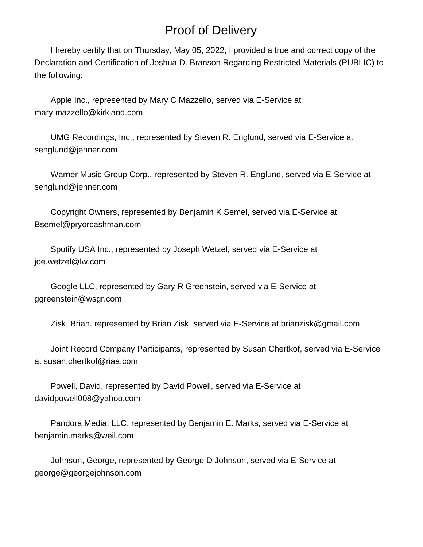# Proof of Delivery

 I hereby certify that on Thursday, May 05, 2022, I provided a true and correct copy of the Declaration and Certification of Joshua D. Branson Regarding Restricted Materials (PUBLIC) to the following:

 Apple Inc., represented by Mary C Mazzello, served via E-Service at mary.mazzello@kirkland.com

 UMG Recordings, Inc., represented by Steven R. Englund, served via E-Service at senglund@jenner.com

 Warner Music Group Corp., represented by Steven R. Englund, served via E-Service at senglund@jenner.com

 Copyright Owners, represented by Benjamin K Semel, served via E-Service at Bsemel@pryorcashman.com

 Spotify USA Inc., represented by Joseph Wetzel, served via E-Service at joe.wetzel@lw.com

 Google LLC, represented by Gary R Greenstein, served via E-Service at ggreenstein@wsgr.com

Zisk, Brian, represented by Brian Zisk, served via E-Service at brianzisk@gmail.com

 Joint Record Company Participants, represented by Susan Chertkof, served via E-Service at susan.chertkof@riaa.com

 Powell, David, represented by David Powell, served via E-Service at davidpowell008@yahoo.com

 Pandora Media, LLC, represented by Benjamin E. Marks, served via E-Service at benjamin.marks@weil.com

 Johnson, George, represented by George D Johnson, served via E-Service at george@georgejohnson.com